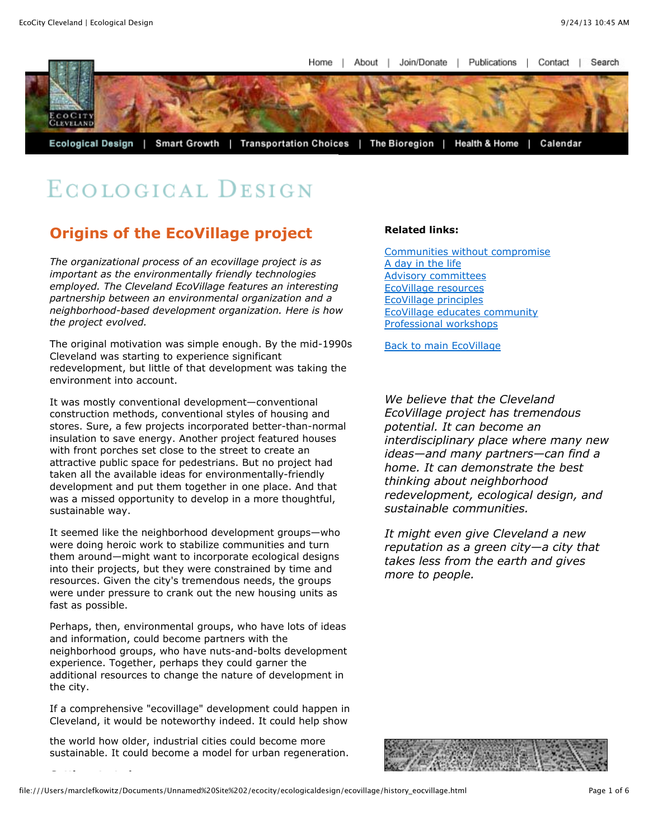Home I About I Join/Donate I Publications  $\Box$ Contact Search



# ECOLOGICAL DESIGN

## **Origins of the EcoVillage project**

*The organizational process of an ecovillage project is as important as the environmentally friendly technologies employed. The Cleveland EcoVillage features an interesting partnership between an environmental organization and a neighborhood-based development organization. Here is how the project evolved.*

The original motivation was simple enough. By the mid-1990s Cleveland was starting to experience significant redevelopment, but little of that development was taking the environment into account.

It was mostly conventional development—conventional construction methods, conventional styles of housing and stores. Sure, a few projects incorporated better-than-normal insulation to save energy. Another project featured houses with front porches set close to the street to create an attractive public space for pedestrians. But no project had taken all the available ideas for environmentally-friendly development and put them together in one place. And that was a missed opportunity to develop in a more thoughtful, sustainable way.

It seemed like the neighborhood development groups—who were doing heroic work to stabilize communities and turn them around—might want to incorporate ecological designs into their projects, but they were constrained by time and resources. Given the city's tremendous needs, the groups were under pressure to crank out the new housing units as fast as possible.

Perhaps, then, environmental groups, who have lots of ideas and information, could become partners with the neighborhood groups, who have nuts-and-bolts development experience. Together, perhaps they could garner the additional resources to change the nature of development in the city.

If a comprehensive "ecovillage" development could happen in Cleveland, it would be noteworthy indeed. It could help show

the world how older, industrial cities could become more sustainable. It could become a model for urban regeneration.

**Getting started**

#### **Related links:**

[Communities without compromise](file:///Users/marclefkowitz/Documents/Unnamed%20Site%202/ecocity/ecologicaldesign/ecovillage/without_compromise.html) [A day in the life](file:///Users/marclefkowitz/Documents/Unnamed%20Site%202/ecocity/ecologicaldesign/ecovillage/a_day_in_the_life.html) [Advisory committees](file:///Users/marclefkowitz/Documents/Unnamed%20Site%202/ecocity/ecologicaldesign/ecovillage/advisory.html) [EcoVillage resources](file:///Users/marclefkowitz/Documents/Unnamed%20Site%202/ecocity/ecologicaldesign/ecovillage/ecovillage_resources.html) [EcoVillage principles](file:///Users/marclefkowitz/Documents/Unnamed%20Site%202/ecocity/ecologicaldesign/ecovillage/principles_ecovillage.html) [EcoVillage educates community](file:///Users/marclefkowitz/Documents/Unnamed%20Site%202/ecocity/ecologicaldesign/ecovillage/eco_educate.html) [Professional workshops](file:///Users/marclefkowitz/Documents/Unnamed%20Site%202/ecocity/ecologicaldesign/ecovillage/eco_pro_workshops.html)

[Back to main EcoVillage](file:///Users/marclefkowitz/Documents/Unnamed%20Site%202/ecocity/ecologicaldesign/ecovillage/intro_ecovillage.html)

*We believe that the Cleveland EcoVillage project has tremendous potential. It can become an interdisciplinary place where many new ideas—and many partners—can find a home. It can demonstrate the best thinking about neighborhood redevelopment, ecological design, and sustainable communities.*

*It might even give Cleveland a new reputation as a green city—a city that takes less from the earth and gives more to people.*

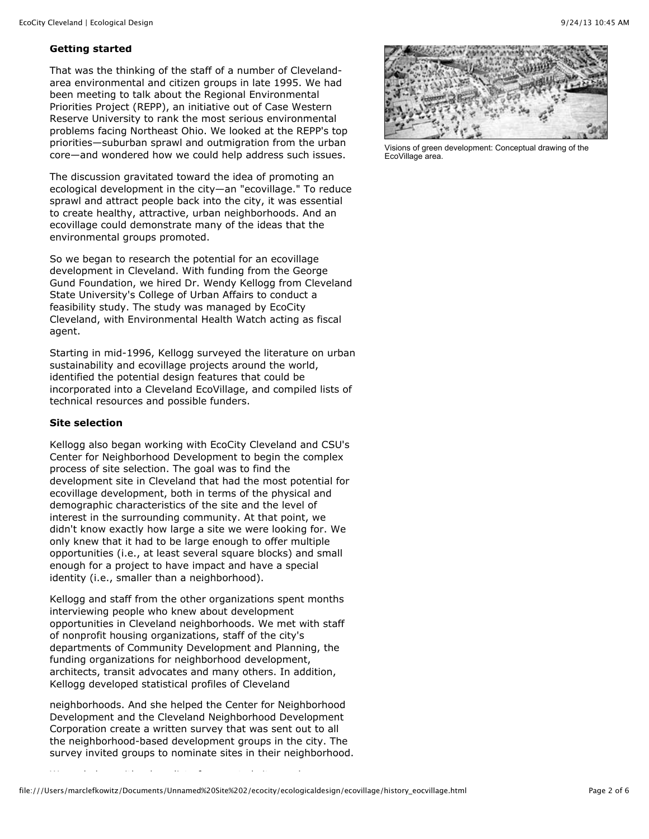### **Getting started**

That was the thinking of the staff of a number of Clevelandarea environmental and citizen groups in late 1995. We had been meeting to talk about the Regional Environmental Priorities Project (REPP), an initiative out of Case Western Reserve University to rank the most serious environmental problems facing Northeast Ohio. We looked at the REPP's top priorities—suburban sprawl and outmigration from the urban core—and wondered how we could help address such issues.

The discussion gravitated toward the idea of promoting an ecological development in the city—an "ecovillage." To reduce sprawl and attract people back into the city, it was essential to create healthy, attractive, urban neighborhoods. And an ecovillage could demonstrate many of the ideas that the environmental groups promoted.

So we began to research the potential for an ecovillage development in Cleveland. With funding from the George Gund Foundation, we hired Dr. Wendy Kellogg from Cleveland State University's College of Urban Affairs to conduct a feasibility study. The study was managed by EcoCity Cleveland, with Environmental Health Watch acting as fiscal agent.

Starting in mid-1996, Kellogg surveyed the literature on urban sustainability and ecovillage projects around the world, identified the potential design features that could be incorporated into a Cleveland EcoVillage, and compiled lists of technical resources and possible funders.

#### **Site selection**

Kellogg also began working with EcoCity Cleveland and CSU's Center for Neighborhood Development to begin the complex process of site selection. The goal was to find the development site in Cleveland that had the most potential for ecovillage development, both in terms of the physical and demographic characteristics of the site and the level of interest in the surrounding community. At that point, we didn't know exactly how large a site we were looking for. We only knew that it had to be large enough to offer multiple opportunities (i.e., at least several square blocks) and small enough for a project to have impact and have a special identity (i.e., smaller than a neighborhood).

Kellogg and staff from the other organizations spent months interviewing people who knew about development opportunities in Cleveland neighborhoods. We met with staff of nonprofit housing organizations, staff of the city's departments of Community Development and Planning, the funding organizations for neighborhood development, architects, transit advocates and many others. In addition, Kellogg developed statistical profiles of Cleveland

neighborhoods. And she helped the Center for Neighborhood Development and the Cleveland Neighborhood Development Corporation create a written survey that was sent out to all the neighborhood-based development groups in the city. The survey invited groups to nominate sites in their neighborhood.

We ended up with a long list of suggested sites and



Visions of green development: Conceptual drawing of the EcoVillage area.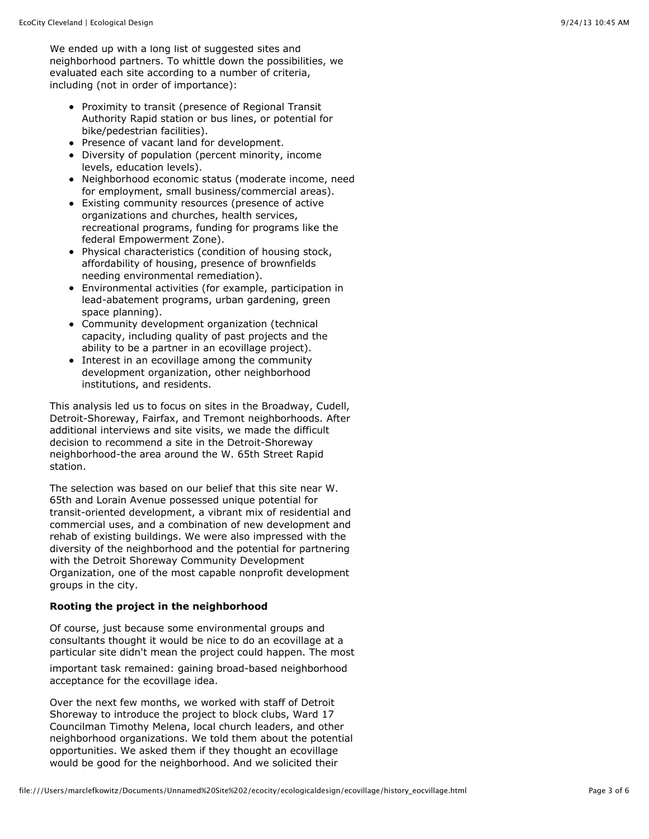We ended up with a long list of suggested sites and neighborhood partners. To whittle down the possibilities, we evaluated each site according to a number of criteria, including (not in order of importance):

- Proximity to transit (presence of Regional Transit Authority Rapid station or bus lines, or potential for bike/pedestrian facilities).
- Presence of vacant land for development.
- Diversity of population (percent minority, income levels, education levels).
- Neighborhood economic status (moderate income, need for employment, small business/commercial areas).
- Existing community resources (presence of active organizations and churches, health services, recreational programs, funding for programs like the federal Empowerment Zone).
- Physical characteristics (condition of housing stock, affordability of housing, presence of brownfields needing environmental remediation).
- Environmental activities (for example, participation in lead-abatement programs, urban gardening, green space planning).
- Community development organization (technical capacity, including quality of past projects and the ability to be a partner in an ecovillage project).
- Interest in an ecovillage among the community development organization, other neighborhood institutions, and residents.

This analysis led us to focus on sites in the Broadway, Cudell, Detroit-Shoreway, Fairfax, and Tremont neighborhoods. After additional interviews and site visits, we made the difficult decision to recommend a site in the Detroit-Shoreway neighborhood-the area around the W. 65th Street Rapid station.

The selection was based on our belief that this site near W. 65th and Lorain Avenue possessed unique potential for transit-oriented development, a vibrant mix of residential and commercial uses, and a combination of new development and rehab of existing buildings. We were also impressed with the diversity of the neighborhood and the potential for partnering with the Detroit Shoreway Community Development Organization, one of the most capable nonprofit development groups in the city.

#### **Rooting the project in the neighborhood**

Of course, just because some environmental groups and consultants thought it would be nice to do an ecovillage at a particular site didn't mean the project could happen. The most important task remained: gaining broad-based neighborhood acceptance for the ecovillage idea.

Over the next few months, we worked with staff of Detroit Shoreway to introduce the project to block clubs, Ward 17 Councilman Timothy Melena, local church leaders, and other neighborhood organizations. We told them about the potential opportunities. We asked them if they thought an ecovillage would be good for the neighborhood. And we solicited their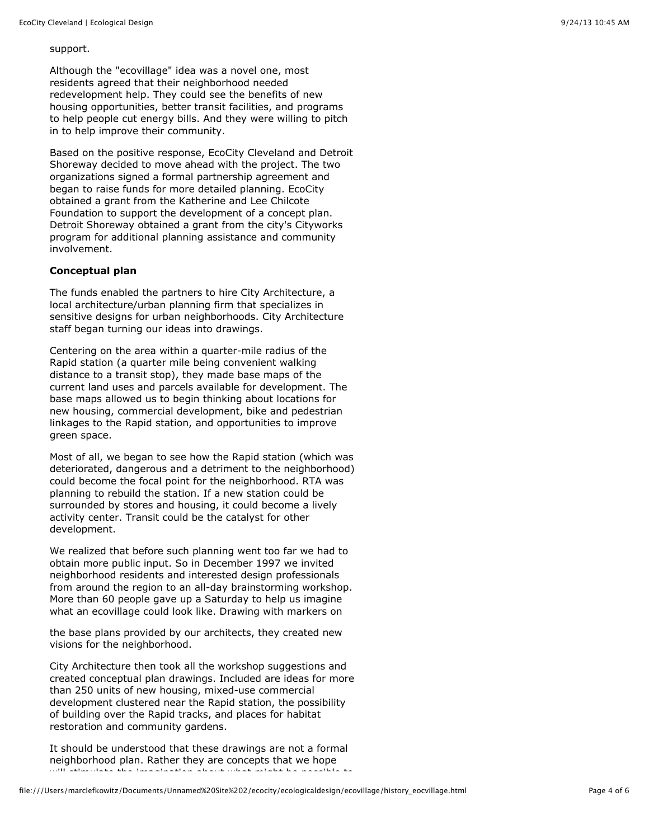#### support.

Although the "ecovillage" idea was a novel one, most residents agreed that their neighborhood needed redevelopment help. They could see the benefits of new housing opportunities, better transit facilities, and programs to help people cut energy bills. And they were willing to pitch in to help improve their community.

Based on the positive response, EcoCity Cleveland and Detroit Shoreway decided to move ahead with the project. The two organizations signed a formal partnership agreement and began to raise funds for more detailed planning. EcoCity obtained a grant from the Katherine and Lee Chilcote Foundation to support the development of a concept plan. Detroit Shoreway obtained a grant from the city's Cityworks program for additional planning assistance and community involvement.

#### **Conceptual plan**

The funds enabled the partners to hire City Architecture, a local architecture/urban planning firm that specializes in sensitive designs for urban neighborhoods. City Architecture staff began turning our ideas into drawings.

Centering on the area within a quarter-mile radius of the Rapid station (a quarter mile being convenient walking distance to a transit stop), they made base maps of the current land uses and parcels available for development. The base maps allowed us to begin thinking about locations for new housing, commercial development, bike and pedestrian linkages to the Rapid station, and opportunities to improve green space.

Most of all, we began to see how the Rapid station (which was deteriorated, dangerous and a detriment to the neighborhood) could become the focal point for the neighborhood. RTA was planning to rebuild the station. If a new station could be surrounded by stores and housing, it could become a lively activity center. Transit could be the catalyst for other development.

We realized that before such planning went too far we had to obtain more public input. So in December 1997 we invited neighborhood residents and interested design professionals from around the region to an all-day brainstorming workshop. More than 60 people gave up a Saturday to help us imagine what an ecovillage could look like. Drawing with markers on

the base plans provided by our architects, they created new visions for the neighborhood.

City Architecture then took all the workshop suggestions and created conceptual plan drawings. Included are ideas for more than 250 units of new housing, mixed-use commercial development clustered near the Rapid station, the possibility of building over the Rapid tracks, and places for habitat restoration and community gardens.

It should be understood that these drawings are not a formal neighborhood plan. Rather they are concepts that we hope will stimulate the imagination about what might be possible to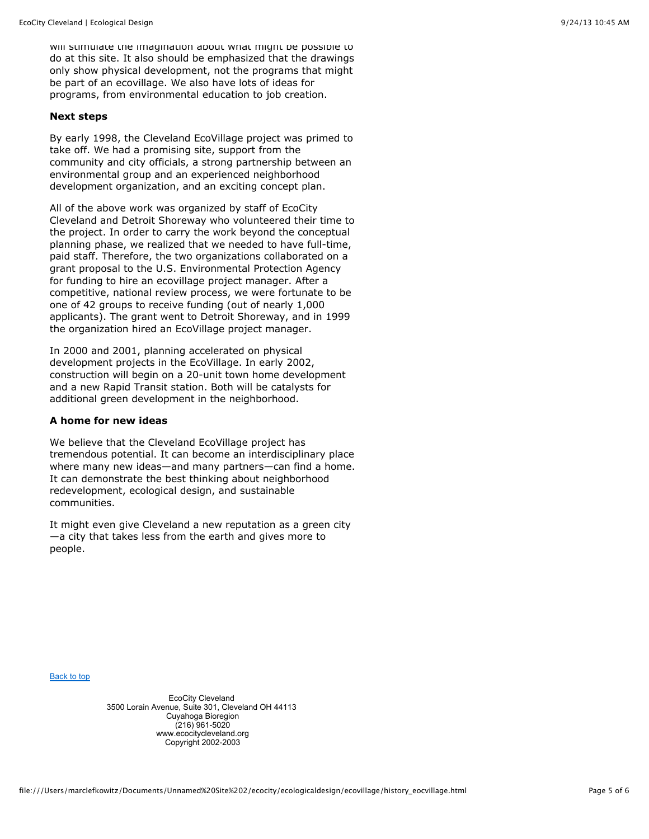#### **Next steps**

By early 1998, the Cleveland EcoVillage project was primed to take off. We had a promising site, support from the community and city officials, a strong partnership between an environmental group and an experienced neighborhood development organization, and an exciting concept plan.

All of the above work was organized by staff of EcoCity Cleveland and Detroit Shoreway who volunteered their time to the project. In order to carry the work beyond the conceptual planning phase, we realized that we needed to have full-time, paid staff. Therefore, the two organizations collaborated on a grant proposal to the U.S. Environmental Protection Agency for funding to hire an ecovillage project manager. After a competitive, national review process, we were fortunate to be one of 42 groups to receive funding (out of nearly 1,000 applicants). The grant went to Detroit Shoreway, and in 1999 the organization hired an EcoVillage project manager.

In 2000 and 2001, planning accelerated on physical development projects in the EcoVillage. In early 2002, construction will begin on a 20-unit town home development and a new Rapid Transit station. Both will be catalysts for additional green development in the neighborhood.

#### **A home for new ideas**

We believe that the Cleveland EcoVillage project has tremendous potential. It can become an interdisciplinary place where many new ideas—and many partners—can find a home. It can demonstrate the best thinking about neighborhood redevelopment, ecological design, and sustainable communities.

It might even give Cleveland a new reputation as a green city —a city that takes less from the earth and gives more to people.

[Back to top](file:///Users/marclefkowitz/Documents/Unnamed%20Site%202/ecocity/ecologicaldesign/ecovillage/history_eocvillage.html#top)

EcoCity Cleveland 3500 Lorain Avenue, Suite 301, Cleveland OH 44113 Cuyahoga Bioregion  $(216)$  961-5020 www.ecocitycleveland.org Copyright 2002-2003